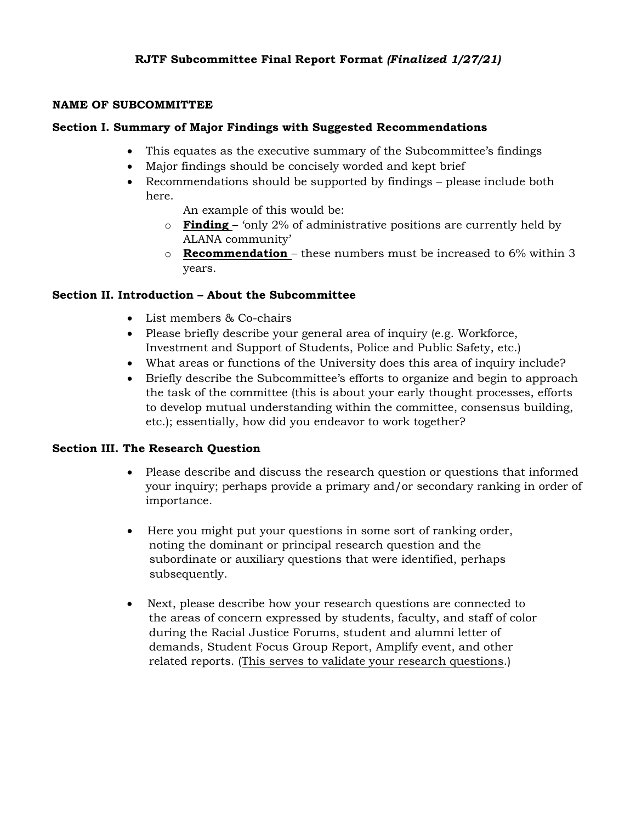### **NAME OF SUBCOMMITTEE**

## **Section I. Summary of Major Findings with Suggested Recommendations**

- This equates as the executive summary of the Subcommittee's findings
- Major findings should be concisely worded and kept brief
- Recommendations should be supported by findings please include both here.

An example of this would be:

- o **Finding**  'only 2% of administrative positions are currently held by ALANA community'
- o **Recommendation**  these numbers must be increased to 6% within 3 years.

### **Section II. Introduction – About the Subcommittee**

- List members & Co-chairs
- Please briefly describe your general area of inquiry (e.g. Workforce, Investment and Support of Students, Police and Public Safety, etc.)
- What areas or functions of the University does this area of inquiry include?
- Briefly describe the Subcommittee's efforts to organize and begin to approach the task of the committee (this is about your early thought processes, efforts to develop mutual understanding within the committee, consensus building, etc.); essentially, how did you endeavor to work together?

### **Section III. The Research Question**

- Please describe and discuss the research question or questions that informed your inquiry; perhaps provide a primary and/or secondary ranking in order of importance.
- Here you might put your questions in some sort of ranking order, noting the dominant or principal research question and the subordinate or auxiliary questions that were identified, perhaps subsequently.
- Next, please describe how your research questions are connected to the areas of concern expressed by students, faculty, and staff of color during the Racial Justice Forums, student and alumni letter of demands, Student Focus Group Report, Amplify event, and other related reports. (This serves to validate your research questions.)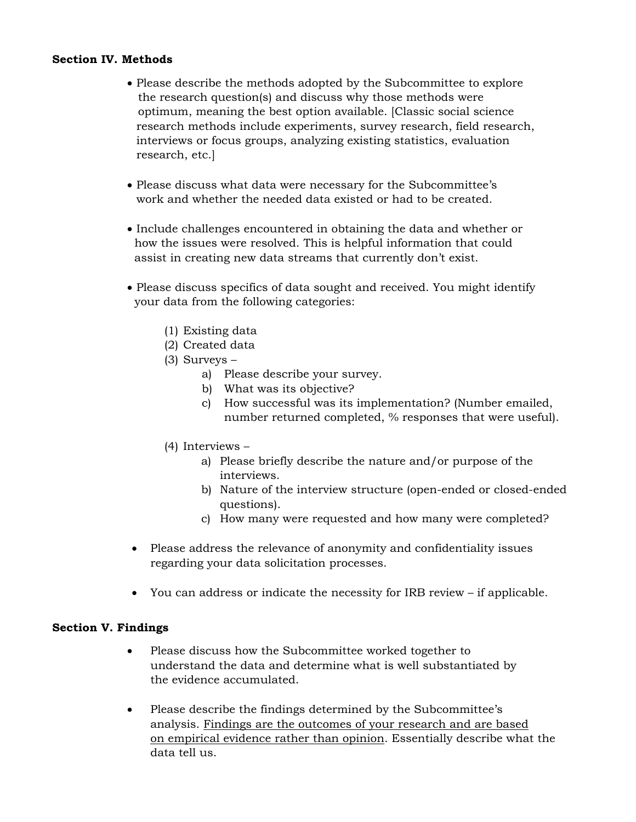#### **Section IV. Methods**

- Please describe the methods adopted by the Subcommittee to explore the research question(s) and discuss why those methods were optimum, meaning the best option available. [Classic social science research methods include experiments, survey research, field research, interviews or focus groups, analyzing existing statistics, evaluation research, etc.]
- Please discuss what data were necessary for the Subcommittee's work and whether the needed data existed or had to be created.
- Include challenges encountered in obtaining the data and whether or how the issues were resolved. This is helpful information that could assist in creating new data streams that currently don't exist.
- Please discuss specifics of data sought and received. You might identify your data from the following categories:
	- (1) Existing data
	- (2) Created data
	- (3) Surveys
		- a) Please describe your survey.
		- b) What was its objective?
		- c) How successful was its implementation? (Number emailed, number returned completed, % responses that were useful).
	- (4) Interviews
		- a) Please briefly describe the nature and/or purpose of the interviews.
		- b) Nature of the interview structure (open-ended or closed-ended questions).
		- c) How many were requested and how many were completed?
- Please address the relevance of anonymity and confidentiality issues regarding your data solicitation processes.
- You can address or indicate the necessity for IRB review if applicable.

### **Section V. Findings**

- Please discuss how the Subcommittee worked together to understand the data and determine what is well substantiated by the evidence accumulated.
- Please describe the findings determined by the Subcommittee's analysis. Findings are the outcomes of your research and are based on empirical evidence rather than opinion. Essentially describe what the data tell us.